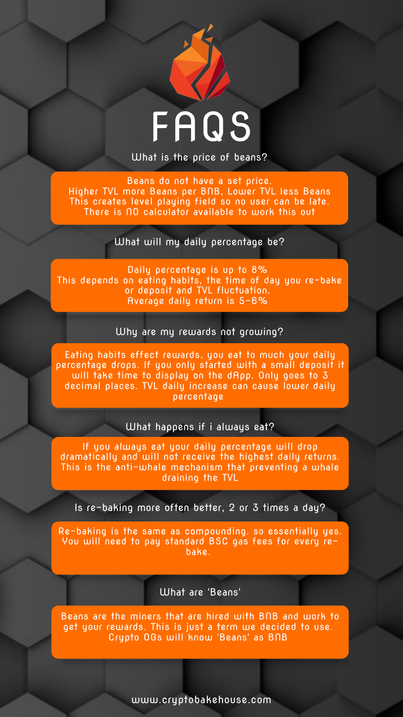What are 'Beans'



What is the price of beans?

Beans do not have a set price. Higher TVL more Beans per BNB, Lower TVL less Beans This creates level playing field so no user can be late. There is NO calculator available to work this out

What will my daily percentage be?

Why are my rewards not growing?

Daily percentage is up to 8% This depends on eating habits, the time of day you re-bake or deposit and TVL fluctuation. Average daily return is 5-6%

What happens if i always eat?

Eating habits effect rewards, you eat to much your daily percentage drops. If you only started with a small deposit it will take time to display on the dApp. Only goes to 3 decimal places. TVL daily increase can cause lower daily percentage

If you always eat your daily percentage will drop dramatically and will not receive the highest daily returns. This is the anti-whale mechanism that preventing a whale draining the TVL

Is re-baking more often better, 2 or 3 times a day?

Re-baking is the same as compounding. so essentially yes. You will need to pay standard BSC gas fees for every rebake.

Beans are the miners that are hired with BNB and work to get your rewards. This is just a term we decided to use. Crypto OGs will know 'Beans' as BNB

www.cryptobakehouse.com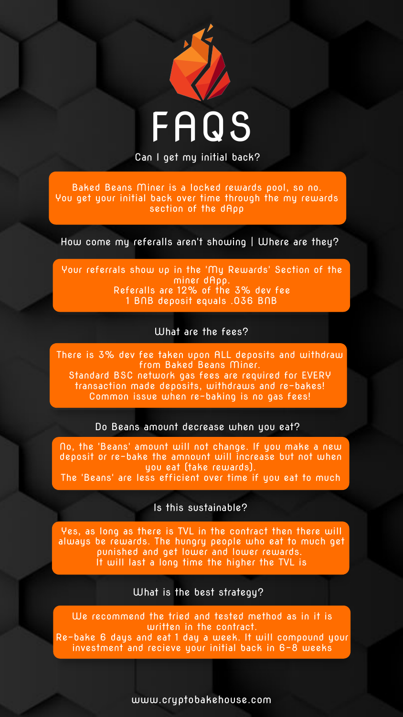

Can I get my initial back?

How come my referalls aren't showing | Where are they?

Baked Beans Miner is a locked rewards pool, so no. You get your initial back over time through the my rewards section of the dApp

#### What are the fees?

Your referrals show up in the 'My Rewards' Section of the miner dApp. Referalls are 12% of the 3% dev fee 1 BNB deposit equals .036 BNB

#### Do Beans amount decrease when you eat?

There is 3% dev fee taken upon ALL deposits and withdraw from Baked Beans Miner. Standard BSC network gas fees are required for EVERY transaction made deposits, withdraws and re-bakes! Common issue when re-baking is no gas fees!

No, the 'Beans' amount will not change. If you make a new deposit or re-bake the amnount will increase but not when you eat (take rewards).

The 'Beans' are less efficient over time if you eat to much

#### Is this sustainable?

#### What is the best strategy?

Yes, as long as there is TVL in the contract then there will always be rewards. The hungry people who eat to much get punished and get lower and lower rewards. It will last a long time the higher the TVL is

We recommend the tried and tested method as in it is written in the contract. Re-bake 6 days and eat 1 day a week. It will compound your investment and recieve your initial back in 6-8 weeks

www.cryptobakehouse.com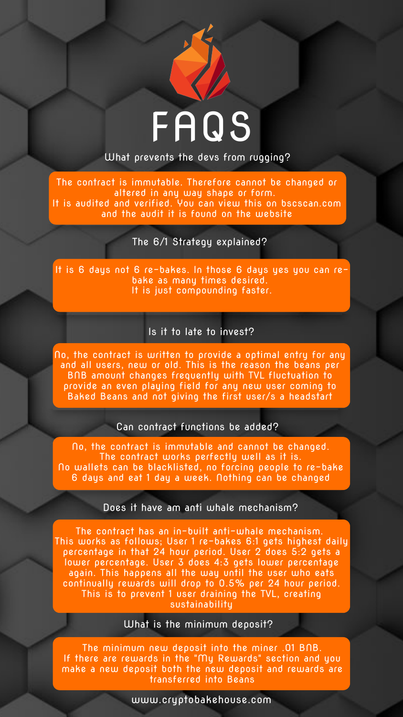

www.cryptobakehouse.com

What prevents the devs from rugging?

The 6/1 Strategy explained?

The contract is immutable. Therefore cannot be changed or altered in any way shape or form. It is audited and verified. You can view this on bscscan.com and the audit it is found on the website

#### Is it to late to invest?

It is 6 days not 6 re-bakes. In those 6 days yes you can rebake as many times desired. It is just compounding faster.

#### Can contract functions be added?

No, the contract is written to provide a optimal entry for any and all users, new or old. This is the reason the beans per BNB amount changes frequently with TVL fluctuation to provide an even playing field for any new user coming to Baked Beans and not giving the first user/s a headstart

No, the contract is immutable and cannot be changed.

The contract works perfectly well as it is. No wallets can be blacklisted, no forcing people to re-bake 6 days and eat 1 day a week. Nothing can be changed

#### Does it have am anti whale mechanism?

#### What is the minimum deposit?

The contract has an in-built anti-whale mechanism. This works as follows; User 1 re-bakes 6:1 gets highest daily percentage in that 24 hour period. User 2 does 5:2 gets a lower percentage. User 3 does 4:3 gets lower percentage again. This happens all the way until the user who eats continually rewards will drop to 0.5% per 24 hour period. This is to prevent 1 user draining the TVL, creating sustainability

The minimum new deposit into the miner .01 BNB. If there are rewards in the "My Rewards" section and you make a new deposit both the new deposit and rewards are transferred into Beans